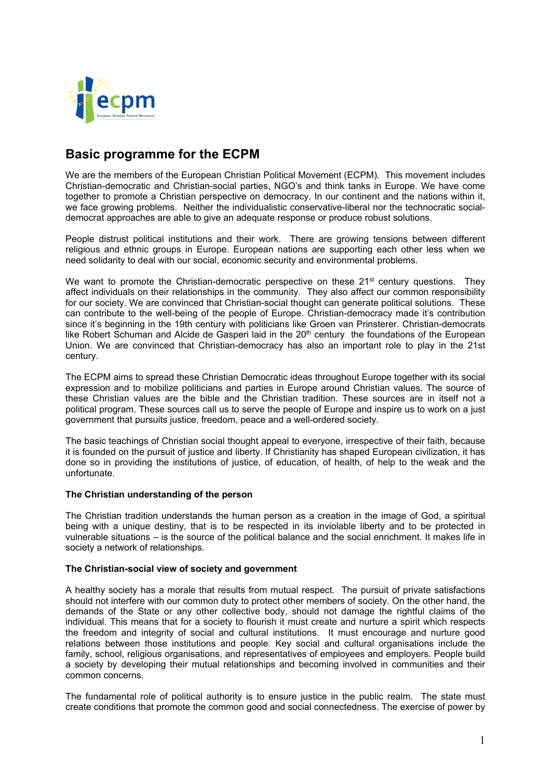

# **Basic programme for the ECPM**

We are the members of the European Christian Political Movement (ECPM). This movement includes Christian-democratic and Christian-social parties, NGO's and think tanks in Europe. We have come together to promote a Christian perspective on democracy. In our continent and the nations within it, we face growing problems. Neither the individualistic conservative-liberal nor the technocratic socialdemocrat approaches are able to give an adequate response or produce robust solutions.

People distrust political institutions and their work. There are growing tensions between different religious and ethnic groups in Europe. European nations are supporting each other less when we need solidarity to deal with our social, economic security and environmental problems.

We want to promote the Christian-democratic perspective on these  $21^{st}$  century questions. They affect individuals on their relationships in the community. They also affect our common responsibility for our society. We are convinced that Christian-social thought can generate political solutions. These can contribute to the well-being of the people of Europe. Christian-democracy made it's contribution since it's beginning in the 19th century with politicians like Groen van Prinsterer. Christian-democrats like Robert Schuman and Alcide de Gasperi laid in the  $20<sup>th</sup>$  century the foundations of the European Union. We are convinced that Christian-democracy has also an important role to play in the 21st century.

The ECPM aims to spread these Christian Democratic ideas throughout Europe together with its social expression and to mobilize politicians and parties in Europe around Christian values. The source of these Christian values are the bible and the Christian tradition. These sources are in itself not a political program. These sources call us to serve the people of Europe and inspire us to work on a just government that pursuits justice, freedom, peace and a well-ordered society.

The basic teachings of Christian social thought appeal to everyone, irrespective of their faith, because it is founded on the pursuit of justice and liberty. If Christianity has shaped European civilization, it has done so in providing the institutions of justice, of education, of health, of help to the weak and the unfortunate.

# **The Christian understanding of the person**

The Christian tradition understands the human person as a creation in the image of God, a spiritual being with a unique destiny, that is to be respected in its inviolable liberty and to be protected in vulnerable situations – is the source of the political balance and the social enrichment. It makes life in society a network of relationships.

# **The Christian-social view of society and government**

A healthy society has a morale that results from mutual respect. The pursuit of private satisfactions should not interfere with our common duty to protect other members of society. On the other hand, the demands of the State or any other collective body, should not damage the rightful claims of the individual. This means that for a society to flourish it must create and nurture a spirit which respects the freedom and integrity of social and cultural institutions. It must encourage and nurture good relations between those institutions and people. Key social and cultural organisations include the family, school, religious organisations, and representatives of employees and employers. People build a society by developing their mutual relationships and becoming involved in communities and their common concerns.

The fundamental role of political authority is to ensure justice in the public realm. The state must create conditions that promote the common good and social connectedness. The exercise of power by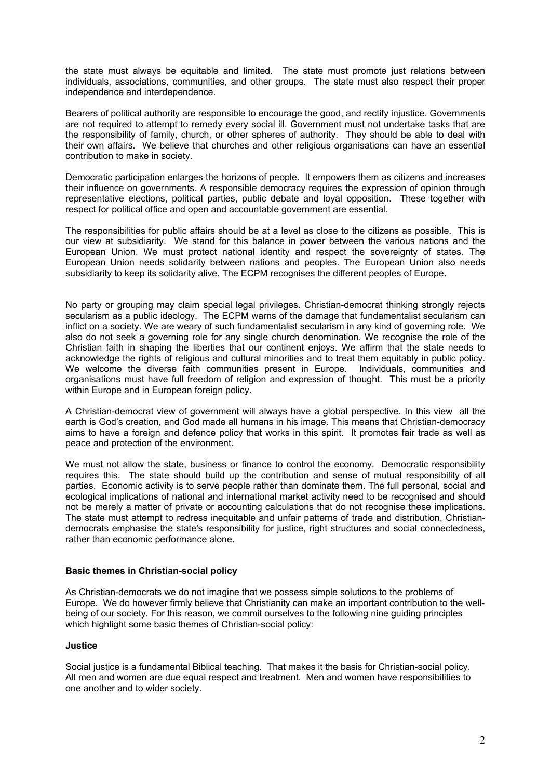the state must always be equitable and limited. The state must promote just relations between individuals, associations, communities, and other groups. The state must also respect their proper independence and interdependence.

Bearers of political authority are responsible to encourage the good, and rectify injustice. Governments are not required to attempt to remedy every social ill. Government must not undertake tasks that are the responsibility of family, church, or other spheres of authority. They should be able to deal with their own affairs. We believe that churches and other religious organisations can have an essential contribution to make in society.

Democratic participation enlarges the horizons of people. It empowers them as citizens and increases their influence on governments. A responsible democracy requires the expression of opinion through representative elections, political parties, public debate and loyal opposition. These together with respect for political office and open and accountable government are essential.

The responsibilities for public affairs should be at a level as close to the citizens as possible. This is our view at subsidiarity. We stand for this balance in power between the various nations and the European Union. We must protect national identity and respect the sovereignty of states. The European Union needs solidarity between nations and peoples. The European Union also needs subsidiarity to keep its solidarity alive. The ECPM recognises the different peoples of Europe.

No party or grouping may claim special legal privileges. Christian-democrat thinking strongly rejects secularism as a public ideology. The ECPM warns of the damage that fundamentalist secularism can inflict on a society. We are weary of such fundamentalist secularism in any kind of governing role. We also do not seek a governing role for any single church denomination. We recognise the role of the Christian faith in shaping the liberties that our continent enjoys. We affirm that the state needs to acknowledge the rights of religious and cultural minorities and to treat them equitably in public policy. We welcome the diverse faith communities present in Europe. Individuals, communities and organisations must have full freedom of religion and expression of thought. This must be a priority within Europe and in European foreign policy.

A Christian-democrat view of government will always have a global perspective. In this view all the earth is God's creation, and God made all humans in his image. This means that Christian-democracy aims to have a foreign and defence policy that works in this spirit. It promotes fair trade as well as peace and protection of the environment.

We must not allow the state, business or finance to control the economy. Democratic responsibility requires this. The state should build up the contribution and sense of mutual responsibility of all parties. Economic activity is to serve people rather than dominate them. The full personal, social and ecological implications of national and international market activity need to be recognised and should not be merely a matter of private or accounting calculations that do not recognise these implications. The state must attempt to redress inequitable and unfair patterns of trade and distribution. Christiandemocrats emphasise the state's responsibility for justice, right structures and social connectedness, rather than economic performance alone.

# **Basic themes in Christian-social policy**

As Christian-democrats we do not imagine that we possess simple solutions to the problems of Europe. We do however firmly believe that Christianity can make an important contribution to the wellbeing of our society. For this reason, we commit ourselves to the following nine guiding principles which highlight some basic themes of Christian-social policy:

#### **Justice**

Social justice is a fundamental Biblical teaching. That makes it the basis for Christian-social policy. All men and women are due equal respect and treatment. Men and women have responsibilities to one another and to wider society.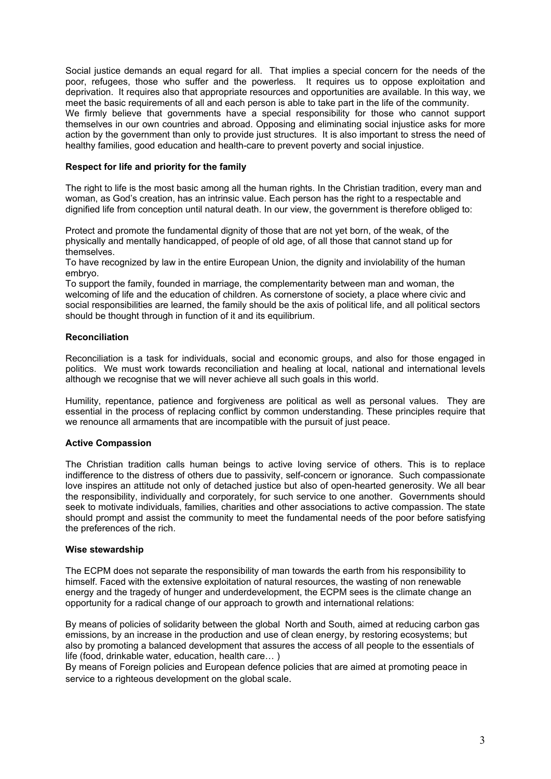Social justice demands an equal regard for all. That implies a special concern for the needs of the poor, refugees, those who suffer and the powerless. It requires us to oppose exploitation and deprivation. It requires also that appropriate resources and opportunities are available. In this way, we meet the basic requirements of all and each person is able to take part in the life of the community. We firmly believe that governments have a special responsibility for those who cannot support themselves in our own countries and abroad. Opposing and eliminating social injustice asks for more action by the government than only to provide just structures. It is also important to stress the need of healthy families, good education and health-care to prevent poverty and social injustice.

## **Respect for life and priority for the family**

The right to life is the most basic among all the human rights. In the Christian tradition, every man and woman, as God's creation, has an intrinsic value. Each person has the right to a respectable and dignified life from conception until natural death. In our view, the government is therefore obliged to:

Protect and promote the fundamental dignity of those that are not yet born, of the weak, of the physically and mentally handicapped, of people of old age, of all those that cannot stand up for themselves.

To have recognized by law in the entire European Union, the dignity and inviolability of the human embryo.

To support the family, founded in marriage, the complementarity between man and woman, the welcoming of life and the education of children. As cornerstone of society, a place where civic and social responsibilities are learned, the family should be the axis of political life, and all political sectors should be thought through in function of it and its equilibrium.

## **Reconciliation**

Reconciliation is a task for individuals, social and economic groups, and also for those engaged in politics. We must work towards reconciliation and healing at local, national and international levels although we recognise that we will never achieve all such goals in this world.

Humility, repentance, patience and forgiveness are political as well as personal values. They are essential in the process of replacing conflict by common understanding. These principles require that we renounce all armaments that are incompatible with the pursuit of just peace.

# **Active Compassion**

The Christian tradition calls human beings to active loving service of others. This is to replace indifference to the distress of others due to passivity, self-concern or ignorance. Such compassionate love inspires an attitude not only of detached justice but also of open-hearted generosity. We all bear the responsibility, individually and corporately, for such service to one another. Governments should seek to motivate individuals, families, charities and other associations to active compassion. The state should prompt and assist the community to meet the fundamental needs of the poor before satisfying the preferences of the rich.

#### **Wise stewardship**

The ECPM does not separate the responsibility of man towards the earth from his responsibility to himself. Faced with the extensive exploitation of natural resources, the wasting of non renewable energy and the tragedy of hunger and underdevelopment, the ECPM sees is the climate change an opportunity for a radical change of our approach to growth and international relations:

By means of policies of solidarity between the global North and South, aimed at reducing carbon gas emissions, by an increase in the production and use of clean energy, by restoring ecosystems; but also by promoting a balanced development that assures the access of all people to the essentials of life (food, drinkable water, education, health care… )

By means of Foreign policies and European defence policies that are aimed at promoting peace in service to a righteous development on the global scale.